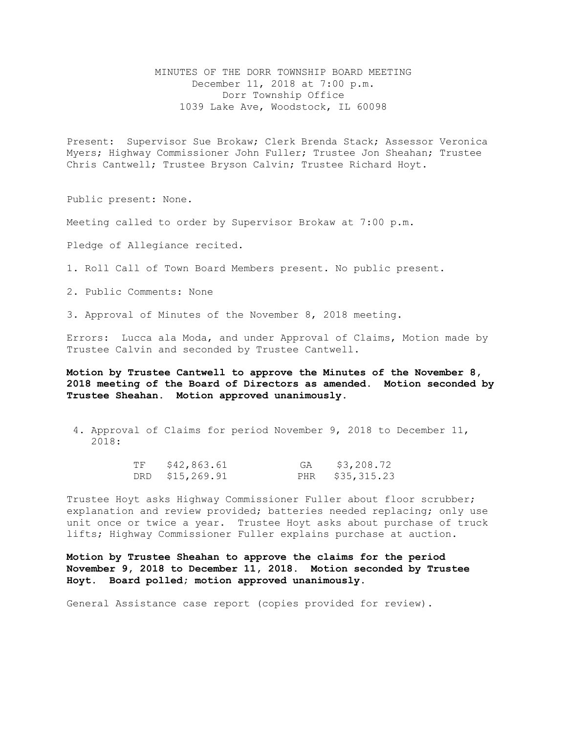MINUTES OF THE DORR TOWNSHIP BOARD MEETING December 11, 2018 at 7:00 p.m. Dorr Township Office 1039 Lake Ave, Woodstock, IL 60098

Present: Supervisor Sue Brokaw; Clerk Brenda Stack; Assessor Veronica Myers; Highway Commissioner John Fuller; Trustee Jon Sheahan; Trustee Chris Cantwell; Trustee Bryson Calvin; Trustee Richard Hoyt.

Public present: None.

Meeting called to order by Supervisor Brokaw at 7:00 p.m.

Pledge of Allegiance recited.

1. Roll Call of Town Board Members present. No public present.

2. Public Comments: None

3. Approval of Minutes of the November 8, 2018 meeting.

Errors: Lucca ala Moda, and under Approval of Claims, Motion made by Trustee Calvin and seconded by Trustee Cantwell.

**Motion by Trustee Cantwell to approve the Minutes of the November 8, 2018 meeting of the Board of Directors as amended. Motion seconded by Trustee Sheahan. Motion approved unanimously.** 

 4. Approval of Claims for period November 9, 2018 to December 11, 2018:

| TF | \$42,863.61     | GA | \$3,208.72      |
|----|-----------------|----|-----------------|
|    | DRD \$15,269.91 |    | PHR \$35,315.23 |

Trustee Hoyt asks Highway Commissioner Fuller about floor scrubber; explanation and review provided; batteries needed replacing; only use unit once or twice a year. Trustee Hoyt asks about purchase of truck lifts; Highway Commissioner Fuller explains purchase at auction.

**Motion by Trustee Sheahan to approve the claims for the period November 9, 2018 to December 11, 2018. Motion seconded by Trustee Hoyt. Board polled; motion approved unanimously.** 

General Assistance case report (copies provided for review).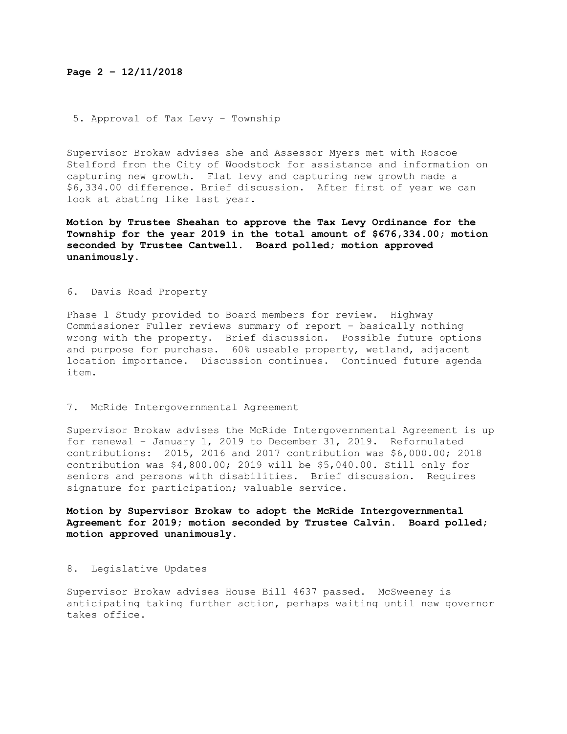# **Page 2 – 12/11/2018**

## 5. Approval of Tax Levy – Township

Supervisor Brokaw advises she and Assessor Myers met with Roscoe Stelford from the City of Woodstock for assistance and information on capturing new growth. Flat levy and capturing new growth made a \$6,334.00 difference. Brief discussion. After first of year we can look at abating like last year.

**Motion by Trustee Sheahan to approve the Tax Levy Ordinance for the Township for the year 2019 in the total amount of \$676,334.00; motion seconded by Trustee Cantwell. Board polled; motion approved unanimously.** 

### 6. Davis Road Property

Phase 1 Study provided to Board members for review. Highway Commissioner Fuller reviews summary of report – basically nothing wrong with the property. Brief discussion. Possible future options and purpose for purchase. 60% useable property, wetland, adjacent location importance. Discussion continues. Continued future agenda item.

#### 7. McRide Intergovernmental Agreement

Supervisor Brokaw advises the McRide Intergovernmental Agreement is up for renewal – January 1, 2019 to December 31, 2019. Reformulated contributions: 2015, 2016 and 2017 contribution was \$6,000.00; 2018 contribution was \$4,800.00; 2019 will be \$5,040.00. Still only for seniors and persons with disabilities. Brief discussion. Requires signature for participation; valuable service.

**Motion by Supervisor Brokaw to adopt the McRide Intergovernmental Agreement for 2019; motion seconded by Trustee Calvin. Board polled; motion approved unanimously.**

#### 8. Legislative Updates

Supervisor Brokaw advises House Bill 4637 passed. McSweeney is anticipating taking further action, perhaps waiting until new governor takes office.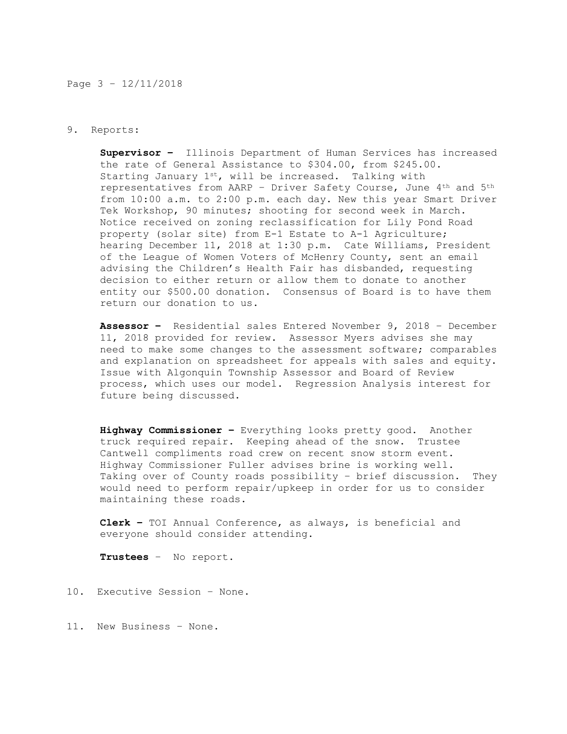#### Page 3 – 12/11/2018

#### 9. Reports:

**Supervisor –** Illinois Department of Human Services has increased the rate of General Assistance to \$304.00, from \$245.00. Starting January  $1^{st}$ , will be increased. Talking with representatives from AARP – Driver Safety Course, June 4th and 5th from 10:00 a.m. to 2:00 p.m. each day. New this year Smart Driver Tek Workshop, 90 minutes; shooting for second week in March. Notice received on zoning reclassification for Lily Pond Road property (solar site) from E-1 Estate to A-1 Agriculture; hearing December 11, 2018 at 1:30 p.m. Cate Williams, President of the League of Women Voters of McHenry County, sent an email advising the Children's Health Fair has disbanded, requesting decision to either return or allow them to donate to another entity our \$500.00 donation. Consensus of Board is to have them return our donation to us.

**Assessor –** Residential sales Entered November 9, 2018 – December 11, 2018 provided for review. Assessor Myers advises she may need to make some changes to the assessment software; comparables and explanation on spreadsheet for appeals with sales and equity. Issue with Algonquin Township Assessor and Board of Review process, which uses our model. Regression Analysis interest for future being discussed.

**Highway Commissioner –** Everything looks pretty good. Another truck required repair. Keeping ahead of the snow. Trustee Cantwell compliments road crew on recent snow storm event. Highway Commissioner Fuller advises brine is working well. Taking over of County roads possibility – brief discussion. They would need to perform repair/upkeep in order for us to consider maintaining these roads.

**Clerk –** TOI Annual Conference, as always, is beneficial and everyone should consider attending.

**Trustees** – No report.

10. Executive Session – None.

11. New Business – None.